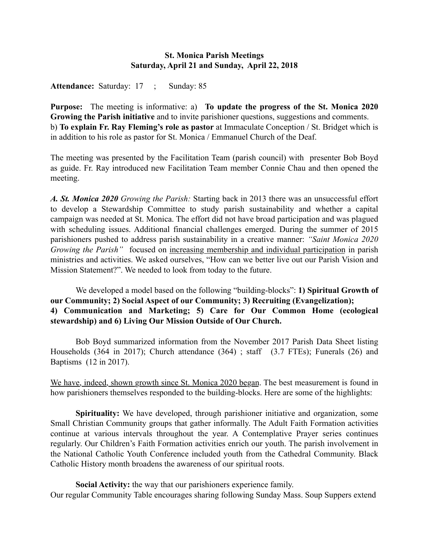# St. Monica Parish Meetings Saturday, April 21 and Sunday, April 22, 2018

Attendance: Saturday: 17 ; Sunday: 85

Purpose: The meeting is informative: a) To update the progress of the St. Monica 2020 Growing the Parish initiative and to invite parishioner questions, suggestions and comments. b) To explain Fr. Ray Fleming's role as pastor at Immaculate Conception / St. Bridget which is in addition to his role as pastor for St. Monica / Emmanuel Church of the Deaf.

The meeting was presented by the Facilitation Team (parish council) with presenter Bob Boyd as guide. Fr. Ray introduced new Facilitation Team member Connie Chau and then opened the meeting.

*A. St. Monica 2020 Growing the Parish:* Starting back in 2013 there was an unsuccessful effort to develop a Stewardship Committee to study parish sustainability and whether a capital campaign was needed at St. Monica. The effort did not have broad participation and was plagued with scheduling issues. Additional financial challenges emerged. During the summer of 2015 parishioners pushed to address parish sustainability in a creative manner: *"Saint Monica 2020 Growing the Parish"* focused on increasing membership and individual participation in parish ministries and activities. We asked ourselves, "How can we better live out our Parish Vision and Mission Statement?". We needed to look from today to the future.

We developed a model based on the following "building-blocks": 1) Spiritual Growth of our Community; 2) Social Aspect of our Community; 3) Recruiting (Evangelization); 4) Communication and Marketing; 5) Care for Our Common Home (ecological stewardship) and 6) Living Our Mission Outside of Our Church.

Bob Boyd summarized information from the November 2017 Parish Data Sheet listing Households (364 in 2017); Church attendance (364) ; staff (3.7 FTEs); Funerals (26) and Baptisms (12 in 2017).

We have, indeed, shown growth since St. Monica 2020 began. The best measurement is found in how parishioners themselves responded to the building-blocks. Here are some of the highlights:

Spirituality: We have developed, through parishioner initiative and organization, some Small Christian Community groups that gather informally. The Adult Faith Formation activities continue at various intervals throughout the year. A Contemplative Prayer series continues regularly. Our Children's Faith Formation activities enrich our youth. The parish involvement in the National Catholic Youth Conference included youth from the Cathedral Community. Black Catholic History month broadens the awareness of our spiritual roots.

Social Activity: the way that our parishioners experience family. Our regular Community Table encourages sharing following Sunday Mass. Soup Suppers extend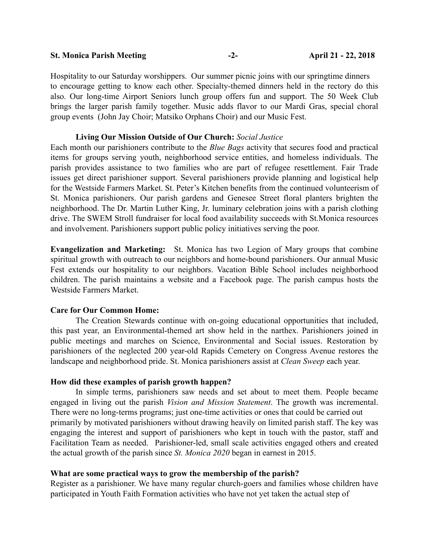#### St. Monica Parish Meeting  $-2 \qquad -2-$  April 21 - 22, 2018

Hospitality to our Saturday worshippers. Our summer picnic joins with our springtime dinners to encourage getting to know each other. Specialty-themed dinners held in the rectory do this also. Our long-time Airport Seniors lunch group offers fun and support. The 50 Week Club brings the larger parish family together. Music adds flavor to our Mardi Gras, special choral group events (John Jay Choir; Matsiko Orphans Choir) and our Music Fest.

#### Living Our Mission Outside of Our Church: *Social Justice*

Each month our parishioners contribute to the *Blue Bags* activity that secures food and practical items for groups serving youth, neighborhood service entities, and homeless individuals. The parish provides assistance to two families who are part of refugee resettlement. Fair Trade issues get direct parishioner support. Several parishioners provide planning and logistical help for the Westside Farmers Market. St. Peter's Kitchen benefits from the continued volunteerism of St. Monica parishioners. Our parish gardens and Genesee Street floral planters brighten the neighborhood. The Dr. Martin Luther King, Jr. luminary celebration joins with a parish clothing drive. The SWEM Stroll fundraiser for local food availability succeeds with St.Monica resources and involvement. Parishioners support public policy initiatives serving the poor.

Evangelization and Marketing: St. Monica has two Legion of Mary groups that combine spiritual growth with outreach to our neighbors and home-bound parishioners. Our annual Music Fest extends our hospitality to our neighbors. Vacation Bible School includes neighborhood children. The parish maintains a website and a Facebook page. The parish campus hosts the Westside Farmers Market.

### Care for Our Common Home:

The Creation Stewards continue with on-going educational opportunities that included, this past year, an Environmental-themed art show held in the narthex. Parishioners joined in public meetings and marches on Science, Environmental and Social issues. Restoration by parishioners of the neglected 200 year-old Rapids Cemetery on Congress Avenue restores the landscape and neighborhood pride. St. Monica parishioners assist at *Clean Sweep* each year.

### How did these examples of parish growth happen?

In simple terms, parishioners saw needs and set about to meet them. People became engaged in living out the parish *Vision and Mission Statement*. The growth was incremental. There were no long-terms programs; just one-time activities or ones that could be carried out primarily by motivated parishioners without drawing heavily on limited parish staff. The key was engaging the interest and support of parishioners who kept in touch with the pastor, staff and Facilitation Team as needed. Parishioner-led, small scale activities engaged others and created the actual growth of the parish since *St. Monica 2020* began in earnest in 2015.

### What are some practical ways to grow the membership of the parish?

Register as a parishioner. We have many regular church-goers and families whose children have participated in Youth Faith Formation activities who have not yet taken the actual step of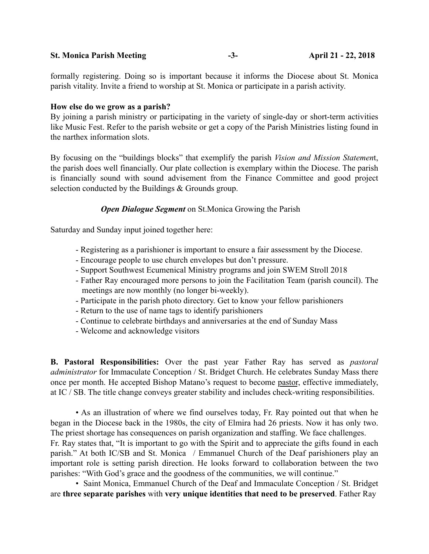### St. Monica Parish Meeting **-3**- -3- April 21 - 22, 2018

formally registering. Doing so is important because it informs the Diocese about St. Monica parish vitality. Invite a friend to worship at St. Monica or participate in a parish activity.

### How else do we grow as a parish?

By joining a parish ministry or participating in the variety of single-day or short-term activities like Music Fest. Refer to the parish website or get a copy of the Parish Ministries listing found in the narthex information slots.

By focusing on the "buildings blocks" that exemplify the parish *Vision and Mission Statemen*t, the parish does well financially. Our plate collection is exemplary within the Diocese. The parish is financially sound with sound advisement from the Finance Committee and good project selection conducted by the Buildings & Grounds group.

## *Open Dialogue Segment* on St.Monica Growing the Parish

Saturday and Sunday input joined together here:

- Registering as a parishioner is important to ensure a fair assessment by the Diocese.
- Encourage people to use church envelopes but don't pressure.
- Support Southwest Ecumenical Ministry programs and join SWEM Stroll 2018
- Father Ray encouraged more persons to join the Facilitation Team (parish council). The meetings are now monthly (no longer bi-weekly).
- Participate in the parish photo directory. Get to know your fellow parishioners
- Return to the use of name tags to identify parishioners
- Continue to celebrate birthdays and anniversaries at the end of Sunday Mass
- Welcome and acknowledge visitors

B. Pastoral Responsibilities: Over the past year Father Ray has served as *pastoral administrator* for Immaculate Conception / St. Bridget Church. He celebrates Sunday Mass there once per month. He accepted Bishop Matano's request to become pastor, effective immediately, at IC / SB. The title change conveys greater stability and includes check-writing responsibilities.

• As an illustration of where we find ourselves today, Fr. Ray pointed out that when he began in the Diocese back in the 1980s, the city of Elmira had 26 priests. Now it has only two. The priest shortage has consequences on parish organization and staffing. We face challenges. Fr. Ray states that, "It is important to go with the Spirit and to appreciate the gifts found in each parish." At both IC/SB and St. Monica / Emmanuel Church of the Deaf parishioners play an important role is setting parish direction. He looks forward to collaboration between the two parishes: "With God's grace and the goodness of the communities, we will continue."

• Saint Monica, Emmanuel Church of the Deaf and Immaculate Conception / St. Bridget are three separate parishes with very unique identities that need to be preserved. Father Ray